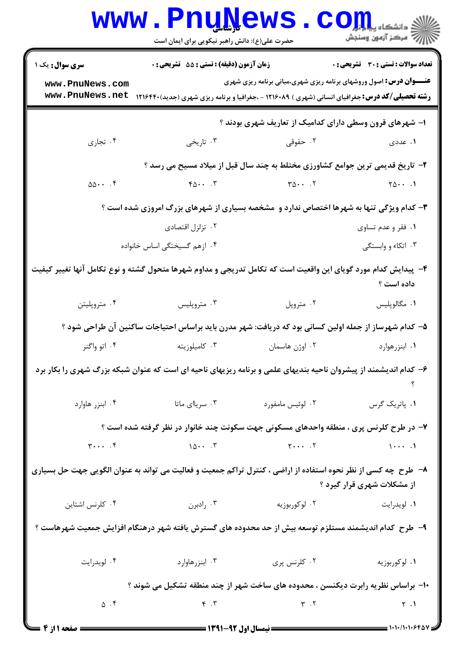|                                                                                                                                              | <b>www.PnuNews</b><br>حضرت علی(ع): دانش راهبر نیکویی برای ایمان است                                                                                                |                                                                               | الله دانشگاه پیام در استفاه بار بار استفاه بار بار استفاه بار بار استفاقه بار در این استفاده بار استفاقه بار ا<br>در استفاقه بار استفاقه بار استفاقه بار استفاقه بار استفاقه بار استفاقه بار استفاقه بار استفاقه بار استفاقه بار |  |  |  |
|----------------------------------------------------------------------------------------------------------------------------------------------|--------------------------------------------------------------------------------------------------------------------------------------------------------------------|-------------------------------------------------------------------------------|----------------------------------------------------------------------------------------------------------------------------------------------------------------------------------------------------------------------------------|--|--|--|
| <b>سری سوال :</b> یک ۱                                                                                                                       | زمان آزمون (دقیقه) : تستی : 55 تشریحی : 0                                                                                                                          |                                                                               | تعداد سوالات : تستي : 30 ٪ تشريحي : 0                                                                                                                                                                                            |  |  |  |
| www.PnuNews.com<br>www.PnuNews.net                                                                                                           | <b>رشته تحصیلی/کد درس:</b> جغرافیای انسانی (شهری ) ۱۲۱۶۰۸۹ - ،جغرافیا و برنامه ریزی شهری (جدید)۱۲۱۶۴۴۰                                                             | <b>عنـــوان درس:</b> اصول وروشهای برنامه ریزی شهری،مبانی برنامه ریزی شهری     |                                                                                                                                                                                                                                  |  |  |  |
|                                                                                                                                              | ۱– شهرهای قرون وسطی دارای کدامیک از تعاریف شهری بودند ؟                                                                                                            |                                                                               |                                                                                                                                                                                                                                  |  |  |  |
| ۰۴ تجاري                                                                                                                                     | ۰۳ تاریخی                                                                                                                                                          | ۰۲ حقوقی                                                                      | ۱. عددی                                                                                                                                                                                                                          |  |  |  |
|                                                                                                                                              |                                                                                                                                                                    | ۲- تاریخ قدیمی ترین جوامع کشاورزی مختلط به چند سال قبل از میلاد مسیح می رسد ؟ |                                                                                                                                                                                                                                  |  |  |  |
| $00 \cdots$ .                                                                                                                                | $Y \Delta \cdot \cdot \cdot Y$                                                                                                                                     | $T\Delta \cdot \cdot \cdot$ . T                                               | $\gamma_{\Delta}$                                                                                                                                                                                                                |  |  |  |
|                                                                                                                                              | <b>۳</b> - کدام ویژگی تنها به شهرها اختصاص ندارد و  مشخصه بسیاری از شهرهای بزرگ امروزی شده است ؟                                                                   |                                                                               |                                                                                                                                                                                                                                  |  |  |  |
|                                                                                                                                              | ۰۲ تزلزل اقتصادی                                                                                                                                                   |                                                                               | ۰۱ فقر و عدم تساوی                                                                                                                                                                                                               |  |  |  |
|                                                                                                                                              | ۰۴ ازهم گسیختگی اساس خانواده                                                                                                                                       |                                                                               | ۰۳ اتکاء و وابستگی                                                                                                                                                                                                               |  |  |  |
| ۴- پیدایش کدام مورد گویای این واقعیت است که تکامل تدریجی و مداوم شهرها متحول گشته و نوع تکامل آنها تغییر کیفیت                               |                                                                                                                                                                    |                                                                               | داده است ؟                                                                                                                                                                                                                       |  |  |  |
| ۰۴ متروپليتن                                                                                                                                 | ۰۳ متروپلیس                                                                                                                                                        | ۰۲ متروپل                                                                     | ۰۱ مگالوپلیس                                                                                                                                                                                                                     |  |  |  |
|                                                                                                                                              | ۵– کدام شهرساز از جمله اولین کسانی بود که دریافت: شهر مدرن باید براساس احتیاجات ساکنین آن طراحی شود ؟                                                              |                                                                               |                                                                                                                                                                                                                                  |  |  |  |
| ۰۴ اتو واگنر                                                                                                                                 | ۰۳ کامیلوزیته                                                                                                                                                      | ۰۲ اوژن هاسمان                                                                | ۰۱ ابنزرهوارد                                                                                                                                                                                                                    |  |  |  |
| ۶- کدام اندیشمند از پیشروان ناحیه بندیهای علمی و برنامه ریزیهای ناحیه ای است که عنوان شبکه بزرگ شهری را بکار برد                             |                                                                                                                                                                    |                                                                               |                                                                                                                                                                                                                                  |  |  |  |
|                                                                                                                                              | ۰۲ لوئیس مامفورد میستان ۲۰ سریاای ماتا استرا به معداد در معاوارد .<br>۲۰ لوئیس مامفورد میستان ۲۰ سریاای ماتا                                                       |                                                                               | ٠١ پاتريک گرس                                                                                                                                                                                                                    |  |  |  |
| ۷– در طرح کلرنس پری ، منطقه واحدهای مسکونی جهت سکونت چند خانوار در نظر گرفته شده است ؟                                                       |                                                                                                                                                                    |                                                                               |                                                                                                                                                                                                                                  |  |  |  |
| $\Upsilon$                                                                                                                                   | $107$ $17$ $11$                                                                                                                                                    |                                                                               |                                                                                                                                                                                                                                  |  |  |  |
| ۸– طرح چه کسی از نظر نحوه استفاده از اراضی ، کنترل تراکم جمعیت و فعالیت می تواند به عنوان الگویی جهت حل بسیاری<br>از مشکلات شهری قرار گیرد ؟ |                                                                                                                                                                    |                                                                               |                                                                                                                                                                                                                                  |  |  |  |
| ۰۴ کلرنس اشتاین                                                                                                                              | <mark>۱</mark> . لویدرایت مسلسل ۲۰ لوکوربوزیه مسلسل ۲۰ رادبرن                                                                                                      |                                                                               |                                                                                                                                                                                                                                  |  |  |  |
| ۹–  طرح  کدام اندیشمند مستلزم توسعه بیش از حد محدوده های گسترش یافته شهر درهنگام افزایش جمعیت شهرهاست ؟                                      |                                                                                                                                                                    |                                                                               |                                                                                                                                                                                                                                  |  |  |  |
|                                                                                                                                              |                                                                                                                                                                    |                                                                               |                                                                                                                                                                                                                                  |  |  |  |
| ۱۰– براساس نظریه رابرت دیکنسن ، محدوده های ساخت شهر از چند منطقه تشکیل می شوند ؟                                                             |                                                                                                                                                                    |                                                                               |                                                                                                                                                                                                                                  |  |  |  |
| $\Delta$ . $\mathbf f$                                                                                                                       | $\gamma$ . $\gamma$ . $\gamma$ . $\gamma$ . $\gamma$ . $\gamma$ . $\gamma$ . $\gamma$ . $\gamma$ . $\gamma$ . $\gamma$ . $\gamma$ . $\gamma$ . $\gamma$ . $\gamma$ |                                                                               |                                                                                                                                                                                                                                  |  |  |  |
|                                                                                                                                              |                                                                                                                                                                    |                                                                               |                                                                                                                                                                                                                                  |  |  |  |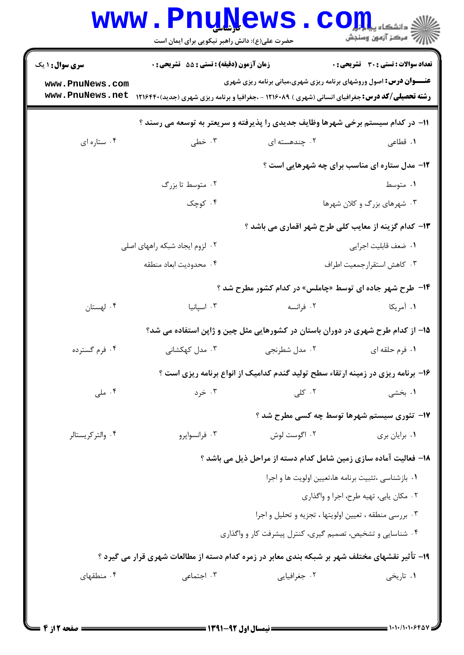| <b>سری سوال : ۱ یک</b>             | زمان آزمون (دقیقه) : تستی : 55 آتشریحی : 0                                                             |                                                                                  | تعداد سوالات : تستي : 30 ٪ تشريحي : 0                |
|------------------------------------|--------------------------------------------------------------------------------------------------------|----------------------------------------------------------------------------------|------------------------------------------------------|
| www.PnuNews.com<br>www.PnuNews.net | <b>رشته تحصیلی/کد درس:</b> جغرافیای انسانی (شهری ) ۱۲۱۶۰۸۹ - ،جغرافیا و برنامه ریزی شهری (جدید)۱۲۱۶۴۴۰ | <b>عنـــوان درس:</b> اصول وروشهای برنامه ریزی شهری،مبانی برنامه ریزی شهری        |                                                      |
|                                    |                                                                                                        | 1۱– در کدام سیستم برخی شهرها وظایف جدیدی را پذیرفته و سریعتر به توسعه می رسند ؟  |                                                      |
| ۰۴ ستاره ای                        | ۰۳ خطی                                                                                                 | ۰۲ چندهسته ای                                                                    | ۰۱ قطاعی                                             |
|                                    |                                                                                                        |                                                                                  | <b>۱۲</b> - مدل ستاره ای مناسب برای چه شهرهایی است ؟ |
|                                    | ۰۲ متوسط تا بزرگ                                                                                       |                                                                                  | ۰۱ متوسط                                             |
|                                    | ۰۴ کوچک                                                                                                |                                                                                  | ۰۳ شهرهای بزرگ و کلان شهرها                          |
|                                    |                                                                                                        | ۱۳- کدام گزینه از معایب کلی طرح شهر اقماری می باشد ؟                             |                                                      |
|                                    | ۲. لزوم ایجاد شبکه راههای اصلی                                                                         |                                                                                  | ٠١. ضعف قابليت اجرايي                                |
|                                    | ۰۴ محدوديت ابعاد منطقه                                                                                 |                                                                                  | ٠٣ كاهش استقرارجمعيت اطراف                           |
|                                    |                                                                                                        | ۱۴- طرح شهر جاده ای توسط «چاملس» در کدام کشور مطرح شد ؟                          |                                                      |
| ۰۴ لهستان                          | ۰۳ اسپانیا                                                                                             | ۰۲ فرانسه                                                                        | ۱. آمریکا                                            |
|                                    |                                                                                                        | ۱۵– از کدام طرح شهری در دوران باستان در کشورهایی مثل چین و ژاپن استفاده می شد؟   |                                                      |
| ۰۴ فرم گسترده                      | ۰۳ مدل کهکشانی                                                                                         | ۰۲ مدل شطرنجي                                                                    | ۰۱ فرم حلقه ای                                       |
|                                    |                                                                                                        | ۱۶- برنامه ریزی در زمینه ارتقاء سطح تولید گندم کدامیک از انواع برنامه ریزی است ؟ |                                                      |
| ۰۴ ملی                             | ۰۳ خرد                                                                                                 | ۰۲ کلی                                                                           | ۰۱ بخشی                                              |
|                                    |                                                                                                        | ۱۷- تئوری سیستم شهرها توسط چه کسی مطرح شد ؟                                      |                                                      |
| ۰۴ والتر کریستالر                  | ۰۳ فرانسوايرو                                                                                          | ۰۲ اگوست لوش                                                                     | ٠١ برايان بري                                        |
|                                    |                                                                                                        | 18– فعالیت آماده سازی زمین شامل کدام دسته از مراحل ذیل می باشد ؟                 |                                                      |
|                                    |                                                                                                        | ٠١ بازشناسي ،تثبيت برنامه ها،تعيين اولويت ها و اجرا                              |                                                      |
|                                    |                                                                                                        |                                                                                  | ۰۲ مکان یابی، تهیه طرح، اجرا و واگذاری               |
|                                    |                                                                                                        | ۰۳ بررسی منطقه ، تعیین اولویتها ، تجزیه و تحلیل و اجرا                           |                                                      |
|                                    |                                                                                                        | ۰۴ شناسایی و تشخیص، تصمیم گیری، کنترل پیشرفت کار و واگذاری                       |                                                      |
|                                    | ۱۹- تأثیر نقشهای مختلف شهر بر شبکه بندی معابر در زمره کدام دسته از مطالعات شهری قرار می گیرد ؟         |                                                                                  |                                                      |
| ۰۴ منطقهای                         | ۰۳ اجتماعی                                                                                             | ۰۲ جغرافیایی                                                                     | ۰۱ تاریخی                                            |

1.1.1.1.944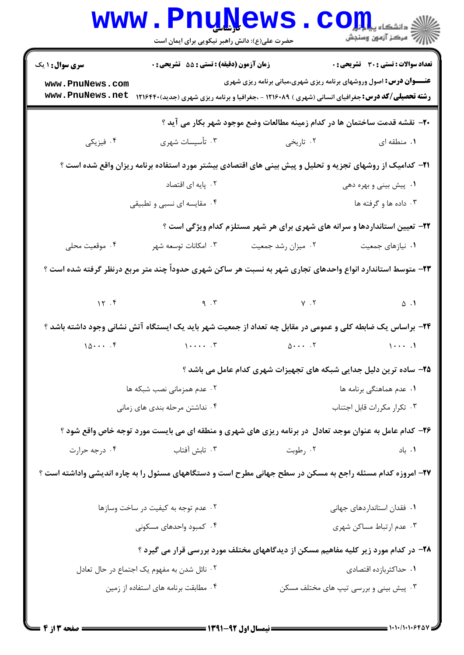|                                                                                                            | <b>www.rnuwews</b><br>حضرت علی(ع): دانش راهبر نیکویی برای ایمان است                                              |                                                                            | $\mathbf{C}\mathbf{O}$ $\mathbf{L}\mathbf{L}$ $\mathbf{L}$<br>أأزأته مركز آزمون وسنجش |  |  |
|------------------------------------------------------------------------------------------------------------|------------------------------------------------------------------------------------------------------------------|----------------------------------------------------------------------------|---------------------------------------------------------------------------------------|--|--|
| <b>سری سوال : ۱ یک</b>                                                                                     | <b>زمان آزمون (دقیقه) : تستی : 55 تشریحی : 0</b>                                                                 |                                                                            | تعداد سوالات : تستي : 30 - تشريحي : 0                                                 |  |  |
| www.PnuNews.com<br>www.PnuNews.net                                                                         | <b>رشته تحصیلی/کد درس:</b> جغرافیای انسانی (شهری ) ۱۲۱۶۰۸۹ - ،جغرافیا و برنامه ریزی شهری (جدید)۱۲۱۶۴۴۰           | <b>عنـــوان درس:</b> اصول وروشهای برنامه ریزی شهری،مبانی برنامه ریزی شهری  |                                                                                       |  |  |
|                                                                                                            |                                                                                                                  | ۲۰− نقشه قدمت ساختمان ها در کدام زمینه مطالعات وضع موجود شهر بکار می آید ؟ |                                                                                       |  |  |
| ۰۴ فیزیکی                                                                                                  | ۰۳ تأسیسات شهری                                                                                                  | ۰۲ تاریخی                                                                  | ۰۱ منطقه ای                                                                           |  |  |
|                                                                                                            | <b>۲۱</b> - کدامیک از روشهای تجزیه و تحلیل و پیش بینی های اقتصادی بیشتر مورد استفاده برنامه ریزان واقع شده است ؟ |                                                                            |                                                                                       |  |  |
|                                                                                                            | ۰۲ پایه ای اقتصاد                                                                                                |                                                                            | ۰۱ پیش بینی و بهره دهی                                                                |  |  |
|                                                                                                            | ۰۴ مقایسه ای نسبی و تطبیقی                                                                                       |                                                                            | ۰۳ داده ها و گرفته ها                                                                 |  |  |
|                                                                                                            |                                                                                                                  | ۲۲- تعیین استانداردها و سرانه های شهری برای هر شهر مستلزم کدام ویژگی است ؟ |                                                                                       |  |  |
| ۰۴ موقعیت محلی                                                                                             | ۰۳ امکانات توسعه شهر                                                                                             | ۰۲ میزان رشد جمعیت                                                         | ٠١ نيازهاى جمعيت                                                                      |  |  |
|                                                                                                            | ۲۳– متوسط استاندارد انواع واحدهای تجاری شهر به نسبت هر ساکن شهری حدوداً چند متر مربع درنظر گرفته شده است ؟       |                                                                            |                                                                                       |  |  |
|                                                                                                            | $\begin{array}{ccc} \gamma & \gamma & \gamma \end{array}$ (1) $\gamma$ . T                                       |                                                                            |                                                                                       |  |  |
|                                                                                                            | ۲۴– براساس یک ضابطه کلی و عمومی در مقابل چه تعداد از جمعیت شهر باید یک ایستگاه آتش نشانی وجود داشته باشد ؟       |                                                                            |                                                                                       |  |  |
| 10                                                                                                         | $\mathcal{L}$ . The state $\mathcal{L}$                                                                          |                                                                            | $\cdots$ .                                                                            |  |  |
|                                                                                                            |                                                                                                                  | ۲۵- ساده ترین دلیل جدایی شبکه های تجهیزات شهری کدام عامل می باشد ؟         |                                                                                       |  |  |
|                                                                                                            | ۰۲ عدم همزمانی نصب شبکه ها                                                                                       | ۰۱ عدم هماهنگی برنامه ها                                                   |                                                                                       |  |  |
|                                                                                                            | ۰۴ نداشتن مرحله بندی های زمانی                                                                                   |                                                                            | ۰۳ تکرار مکررات قابل اجتناب                                                           |  |  |
|                                                                                                            | ۲۶- کدام عامل به عنوان موجد تعادل ً در برنامه ریزی های شهری و منطقه ای می بایست مورد توجه خاص واقع شود ؟         |                                                                            |                                                                                       |  |  |
| ۰۴ درجه حرارت                                                                                              | ۰۳ تابش آفتاب                                                                                                    | ۰۲ رطوبت                                                                   | ۰۱. باد                                                                               |  |  |
| ۲۷– امروزه کدام مسئله راجع به مسکن در سطح جهانی مطرح است و دستگاههای مسئول را به چاره اندیشی واداشته است ؟ |                                                                                                                  |                                                                            |                                                                                       |  |  |
|                                                                                                            | ۰۲ عدم توجه به کیفیت در ساخت وسازها                                                                              | ۰۱ فقدان استانداردهای جهانی                                                |                                                                                       |  |  |
|                                                                                                            | ۰۴ کمبود واحدهای مسکونی                                                                                          | ۰۳ عدم ارتباط مساكن شهري                                                   |                                                                                       |  |  |
|                                                                                                            | ۲۸– در کدام مورد زیر کلیه مفاهیم مسکن از دیدگاههای مختلف مورد بررسی قرار می گیرد ؟                               |                                                                            |                                                                                       |  |  |
|                                                                                                            | ۰۲ نائل شدن به مفهوم یک اجتماع در حال تعادل                                                                      |                                                                            | ۰۱ حداکثربازده اقتصادی                                                                |  |  |
|                                                                                                            | ۰۴ مطابقت برنامه های استفاده از زمین                                                                             |                                                                            | ۰۳ پیش بینی و بررسی تیپ های مختلف مسکن                                                |  |  |
|                                                                                                            |                                                                                                                  |                                                                            |                                                                                       |  |  |